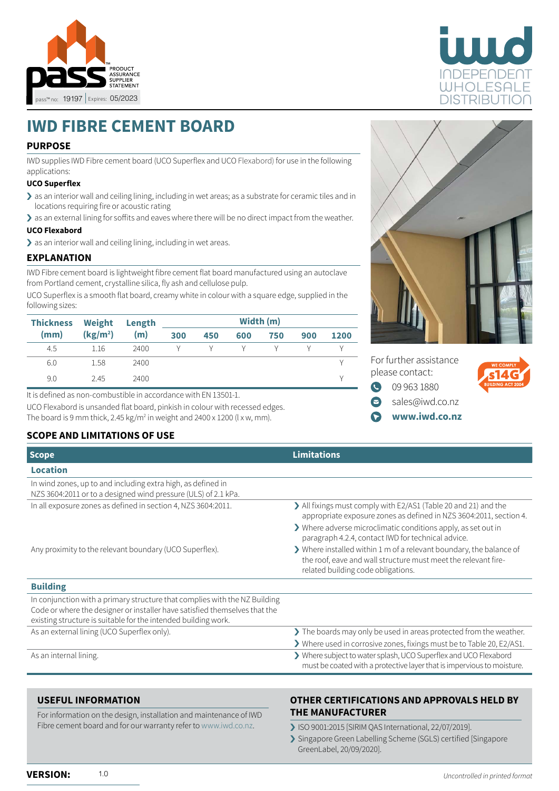



# **IWD FIBRE CEMENT BOARD**

## **PURPOSE**

IWD supplies IWD Fibre cement board (UCO Superflex and UCO Flexabord) for use in the following applications:

#### **UCO Superflex**

- > as an interior wall and ceiling lining, including in wet areas; as a substrate for ceramic tiles and in locations requiring fire or acoustic rating
- › as an external lining for soffits and eaves where there will be no direct impact from the weather.

## **UCO Flexabord**

> as an interior wall and ceiling lining, including in wet areas.

#### **EXPLANATION**

IWD Fibre cement board is lightweight fibre cement flat board manufactured using an autoclave from Portland cement, crystalline silica, fly ash and cellulose pulp.

UCO Superflex is a smooth flat board, creamy white in colour with a square edge, supplied in the following sizes:

| <b>Thickness</b>             | <b>Weight</b> | Length | Width (m) |     |     |     |      |  |
|------------------------------|---------------|--------|-----------|-----|-----|-----|------|--|
| (kg/m <sup>2</sup> )<br>(mm) | (m)           | 300    | 450       | 600 | 750 | 900 | 1200 |  |
| 4.5                          | 1.16          | 2400   |           |     |     |     |      |  |
| 6.0                          | 1.58          | 2400   |           |     |     |     |      |  |
| 9.0                          | 2.45          | 2400   |           |     |     |     |      |  |

It is defined as non-combustible in accordance with EN 13501-1.

UCO Flexabord is unsanded flat board, pinkish in colour with recessed edges. The board is 9 mm thick, 2.45 kg/m² in weight and 2400 x 1200 (l x w, mm).

## **SCOPE AND LIMITATIONS OF USE**

| <b>Scope</b>                                                                                                                                                                                                               | <b>Limitations</b>                                                                                                                                                          |  |  |  |
|----------------------------------------------------------------------------------------------------------------------------------------------------------------------------------------------------------------------------|-----------------------------------------------------------------------------------------------------------------------------------------------------------------------------|--|--|--|
| <b>Location</b>                                                                                                                                                                                                            |                                                                                                                                                                             |  |  |  |
| In wind zones, up to and including extra high, as defined in<br>NZS 3604:2011 or to a designed wind pressure (ULS) of 2.1 kPa.                                                                                             |                                                                                                                                                                             |  |  |  |
| In all exposure zones as defined in section 4, NZS 3604:2011.                                                                                                                                                              | > All fixings must comply with E2/AS1 (Table 20 and 21) and the<br>appropriate exposure zones as defined in NZS 3604:2011, section 4.                                       |  |  |  |
|                                                                                                                                                                                                                            | > Where adverse microclimatic conditions apply, as set out in<br>paragraph 4.2.4, contact IWD for technical advice.                                                         |  |  |  |
| Any proximity to the relevant boundary (UCO Superflex).                                                                                                                                                                    | > Where installed within 1 m of a relevant boundary, the balance of<br>the roof, eave and wall structure must meet the relevant fire-<br>related building code obligations. |  |  |  |
| <b>Building</b>                                                                                                                                                                                                            |                                                                                                                                                                             |  |  |  |
| In conjunction with a primary structure that complies with the NZ Building<br>Code or where the designer or installer have satisfied themselves that the<br>existing structure is suitable for the intended building work. |                                                                                                                                                                             |  |  |  |
| As an external lining (UCO Superflex only).                                                                                                                                                                                | > The boards may only be used in areas protected from the weather.                                                                                                          |  |  |  |
|                                                                                                                                                                                                                            | > Where used in corrosive zones, fixings must be to Table 20, E2/AS1.                                                                                                       |  |  |  |
| As an internal lining.                                                                                                                                                                                                     | > Where subject to water splash, UCO Superflex and UCO Flexabord<br>must be coated with a protective layer that is impervious to moisture.                                  |  |  |  |

#### **USEFUL INFORMATION**

For information on the design, installation and maintenance of IWD Fibre cement board and for our warranty refer to [www.iwd.co.nz](http://www.iwd.co.nz).

## **OTHER CERTIFICATIONS AND APPROVALS HELD BY THE MANUFACTURER**

- › ISO 9001:2015 [SIRIM QAS International, 22/07/2019].
- › Singapore Green Labelling Scheme (SGLS) certified [Singapore GreenLabel, 20/09/2020].



For further assistance